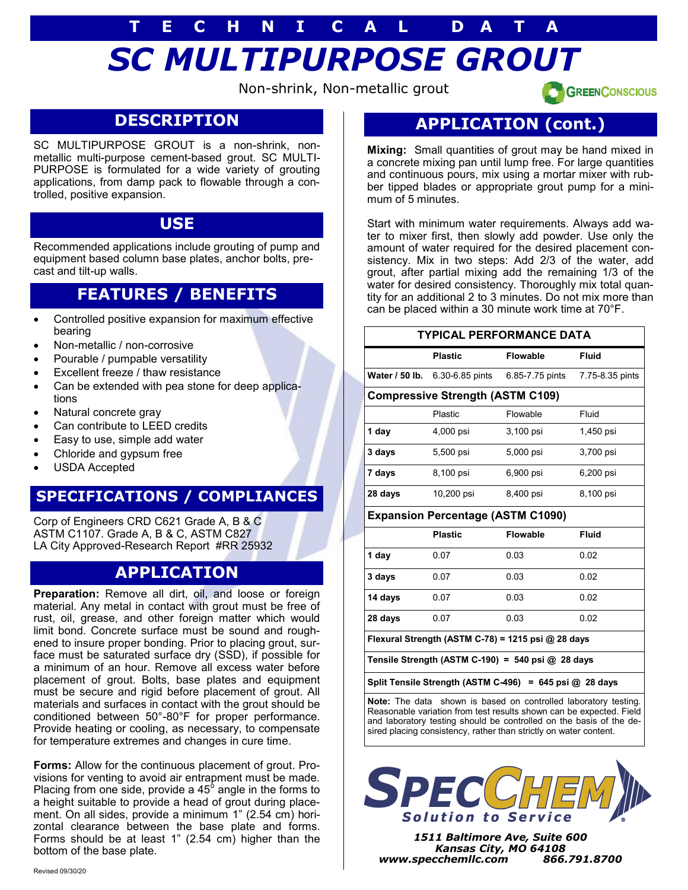# *SC MULTIPURPOSE GROUT* **T E C H N I C A L D A T A**

Non-shrink, Non-metallic grout

**GREENCONSCIOUS** 

### **DESCRIPTION**

SC MULTIPURPOSE GROUT is a non-shrink, nonmetallic multi-purpose cement-based grout. SC MULTI-PURPOSE is formulated for a wide variety of grouting applications, from damp pack to flowable through a controlled, positive expansion.

### **USE**

Recommended applications include grouting of pump and equipment based column base plates, anchor bolts, precast and tilt-up walls.

### **FEATURES / BENEFITS**

- Controlled positive expansion for maximum effective bearing
- Non-metallic / non-corrosive
- Pourable / pumpable versatility
- Excellent freeze / thaw resistance
- Can be extended with pea stone for deep applications
- Natural concrete gray
- Can contribute to LEED credits
- Easy to use, simple add water
- Chloride and gypsum free
- USDA Accepted

### **SPECIFICATIONS / COMPLIANCES**

Corp of Engineers CRD C621 Grade A, B & C ASTM C1107. Grade A, B & C, ASTM C827 LA City Approved-Research Report #RR 25932

### **APPLICATION**

**Preparation:** Remove all dirt, oil, and loose or foreign material. Any metal in contact with grout must be free of rust, oil, grease, and other foreign matter which would limit bond. Concrete surface must be sound and roughened to insure proper bonding. Prior to placing grout, surface must be saturated surface dry (SSD), if possible for a minimum of an hour. Remove all excess water before placement of grout. Bolts, base plates and equipment must be secure and rigid before placement of grout. All materials and surfaces in contact with the grout should be conditioned between 50°-80°F for proper performance. Provide heating or cooling, as necessary, to compensate for temperature extremes and changes in cure time.

**Forms:** Allow for the continuous placement of grout. Provisions for venting to avoid air entrapment must be made. Placing from one side, provide a 45 $^{\circ}$  angle in the forms to a height suitable to provide a head of grout during placement. On all sides, provide a minimum 1" (2.54 cm) horizontal clearance between the base plate and forms. Forms should be at least 1" (2.54 cm) higher than the bottom of the base plate.

### **APPLICATION (cont.)**

**Mixing:** Small quantities of grout may be hand mixed in a concrete mixing pan until lump free. For large quantities and continuous pours, mix using a mortar mixer with rubber tipped blades or appropriate grout pump for a minimum of 5 minutes.

Start with minimum water requirements. Always add water to mixer first, then slowly add powder. Use only the amount of water required for the desired placement consistency. Mix in two steps: Add 2/3 of the water, add grout, after partial mixing add the remaining 1/3 of the water for desired consistency. Thoroughly mix total quantity for an additional 2 to 3 minutes. Do not mix more than can be placed within a 30 minute work time at 70°F.

#### **TYPICAL PERFORMANCE DATA**

|                                         | <b>Plastic</b>  | <b>Flowable</b> | <b>Fluid</b>    |  |
|-----------------------------------------|-----------------|-----------------|-----------------|--|
| Water / 50 lb.                          | 6.30-6.85 pints | 6.85-7.75 pints | 7.75-8.35 pints |  |
| <b>Compressive Strength (ASTM C109)</b> |                 |                 |                 |  |
|                                         | <b>Plastic</b>  | Flowable        | Fluid           |  |
| 1 day                                   | 4,000 psi       | 3,100 psi       | 1,450 psi       |  |
| 3 days                                  | 5,500 psi       | 5,000 psi       | 3,700 psi       |  |
| 7 days                                  | 8,100 psi       | 6,900 psi       | 6,200 psi       |  |
| 28 days                                 | 10,200 psi      | 8,400 psi       | 8,100 psi       |  |

#### **Expansion Percentage (ASTM C1090)**

|         | <b>Plastic</b> | <b>Flowable</b> | <b>Fluid</b> |
|---------|----------------|-----------------|--------------|
| 1 day   | 0.07           | 0.03            | 0.02         |
| 3 days  | 0.07           | 0.03            | 0.02         |
| 14 days | 0.07           | 0.03            | 0.02         |
| 28 days | 0.07           | 0.03            | 0.02         |

**Flexural Strength (ASTM C-78) = 1215 psi @ 28 days**

**Tensile Strength (ASTM C-190) = 540 psi @ 28 days**

**Split Tensile Strength (ASTM C-496) = 645 psi @ 28 days**

**Note:** The data shown is based on controlled laboratory testing. Reasonable variation from test results shown can be expected. Field and laboratory testing should be controlled on the basis of the desired placing consistency, rather than strictly on water content.



*1511 Baltimore Ave, Suite 600 Kansas City, MO 64108 www.specchemllc.com 866.791.8700*